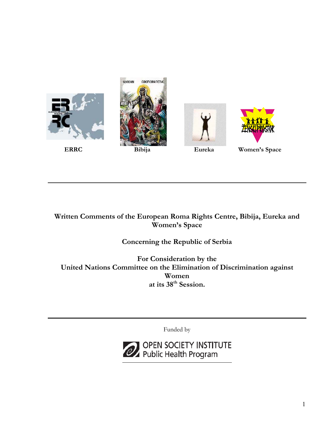

**Written Comments of the European Roma Rights Centre, Bibija, Eureka and Women's Space** 

# **Concerning the Republic of Serbia**

**For Consideration by the United Nations Committee on the Elimination of Discrimination against Women at its 38th Session.** 

Funded by

OPEN SOCIETY INSTITUTE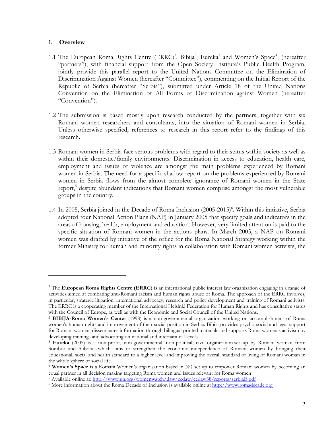#### **1. Overview**

1

- 1.1 The European Roma Rights Centre (ERRC)<sup>1</sup>, Bibija<sup>2</sup>, Eureka<sup>3</sup> and Women's Space<sup>4</sup>, (hereafter "partners"), with financial support from the Open Society Institute's Public Health Program, jointly provide this parallel report to the United Nations Committee on the Elimination of Discrimination Against Women (hereafter "Committee"), commenting on the Initial Report of the Republic of Serbia (hereafter "Serbia"), submitted under Article 18 of the United Nations Convention on the Elimination of All Forms of Discrimination against Women (hereafter "Convention").
- 1.2 The submission is based mostly upon research conducted by the partners, together with six Romani women researchers and consultants, into the situation of Romani women in Serbia. Unless otherwise specified, references to research in this report refer to the findings of this research.
- 1.3 Romani women in Serbia face serious problems with regard to their status within society as well as within their domestic/family environments. Discrimination in access to education, health care, employment and issues of violence are amongst the main problems experienced by Romani women in Serbia. The need for a specific shadow report on the problems experienced by Romani women in Serbia flows from the almost complete ignorance of Romani women in the State report,<sup>[5](#page-1-4)</sup> despite abundant indications that Romani women comprise amongst the most vulnerable groups in the country.
- 1.4 In 2005, Serbia joined in the Decade of Roma Inclusion (2005-2015)<sup>[6](#page-1-5)</sup>. Within this initiative, Serbia adopted four National Action Plans (NAP) in January 2005 that specify goals and indicators in the areas of housing, health, employment and education. However, very limited attention is paid to the specific situation of Romani women in the actions plans. In March 2005, a NAP on Romani women was drafted by initiative of the office for the Roma National Strategy working within the former Ministry for human and minority rights in collaboration with Romani women activists, the

<span id="page-1-0"></span><sup>&</sup>lt;sup>1</sup> The **European Roma Rights Centre (ERRC)** is an international public interest law organisation engaging in a range of activities aimed at combating anti-Romani racism and human rights abuse of Roma. The approach of the ERRC involves, in particular, strategic litigation, international advocacy, research and policy development and training of Romani activists. The ERRC is a cooperating member of the International Helsinki Federation for Human Rights and has consultative status with the Council of Europe, as well as with the Economic and Social Council of the United Nations. 2 **BIBIJA-Roma Women's Center** (1998) is a non-governmental organization working on accomplishment of Roma

<span id="page-1-1"></span>women's human rights and improvement of their social position in Serbia. Bibija provides psycho-social and legal support for Romani women, disseminates information through bilingual printed materials and supports Roma women's activism by developing trainings and advocating on national and international levels.

<span id="page-1-2"></span><sup>3</sup> **Eureka** (2005) is a non-profit, non-governmental, non-political, civil organization set up by Romani woman from Sombor and Subotica which aims to strengthen the economic independence of Romani women by bringing their educational, social and health standard to a higher level and improving the overall standard of living of Romani woman in the whole sphere of social life.<br><sup>4</sup> **Women's Space** is a Romani Women's organisation based in Niš set up to empower Romani women by becoming an

<span id="page-1-3"></span>equal partner in all decision making targeting Roma women and issues relevant for Roma women

<span id="page-1-4"></span><sup>&</sup>lt;sup>5</sup> Available online at:<http://www.un.org/womenwatch/daw/cedaw/cedaw38/reports/serbiaE.pdf>

<span id="page-1-5"></span><sup>6</sup> More information about the Roma Decade of Inclusion is available online at [http://www.romadecade.org](http://www.romadecade.org/)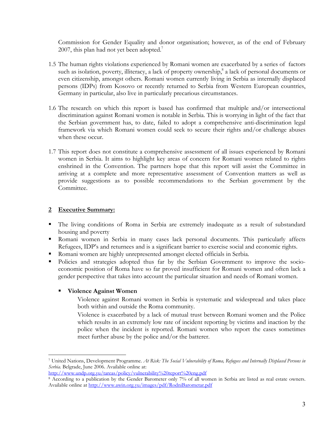Commission for Gender Equality and donor organisation; however, as of the end of February 2007, this plan had not yet been adopted. $\overline{7}$ 

- 1.5 The human rights violations experienced by Romani women are exacerbated by a series of factors such as isolation, poverty, illiteracy, a lack of property ownership,<sup>[8](#page-2-1)</sup> a lack of personal documents or even citizenship, amongst others. Romani women currently living in Serbia as internally displaced persons (IDPs) from Kosovo or recently returned to Serbia from Western European countries, Germany in particular, also live in particularly precarious circumstances.
- 1.6 The research on which this report is based has confirmed that multiple and/or intersectional discrimination against Romani women is notable in Serbia. This is worrying in light of the fact that the Serbian government has, to date, failed to adopt a comprehensive anti-discrimination legal framework via which Romani women could seek to secure their rights and/or challenge abuses when these occur.
- 1.7 This report does not constitute a comprehensive assessment of all issues experienced by Romani women in Serbia. It aims to highlight key areas of concern for Romani women related to rights enshrined in the Convention. The partners hope that this report will assist the Committee in arriving at a complete and more representative assessment of Convention matters as well as provide suggestions as to possible recommendations to the Serbian government by the Committee.

# **2 Executive Summary:**

- The living conditions of Roma in Serbia are extremely inadequate as a result of substandard housing and poverty
- Romani women in Serbia in many cases lack personal documents. This particularly affects Refugees, IDP's and returnees and is a significant barrier to exercise social and economic rights.
- Romani women are highly unrepresented amongst elected officials in Serbia.
- Policies and strategies adopted thus far by the Serbian Government to improve the socioeconomic position of Roma have so far proved insufficient for Romani women and often lack a gender perspective that takes into account the particular situation and needs of Romani women.

# **Violence Against Women**

Violence against Romani women in Serbia is systematic and widespread and takes place both within and outside the Roma community.

Violence is exacerbated by a lack of mutual trust between Romani women and the Police which results in an extremely low rate of incident reporting by victims and inaction by the police when the incident is reported. Romani women who report the cases sometimes meet further abuse by the police and/or the batterer.

<span id="page-2-0"></span> $\overline{a}$ <sup>7</sup> United Nations, Development Programme. *At Risk: The Social Vulnerability of Roma, Refugees and Internally Displaced Persons in Serbia.* Belgrade, June 2006. Available online at:

[http://www.undp.org.yu/tareas/policy/vulnerability%20report%20eng.pdf](http://www.undp.org.yu/tareas/policy/vulnerability report eng.pdf)

<span id="page-2-1"></span><sup>8</sup> According to a publication by the Gender Barometer only 7% of all women in Serbia are listed as real estate owners. Available online at<http://www.awin.org.yu/images/pdf/RodniBarometar.pdf>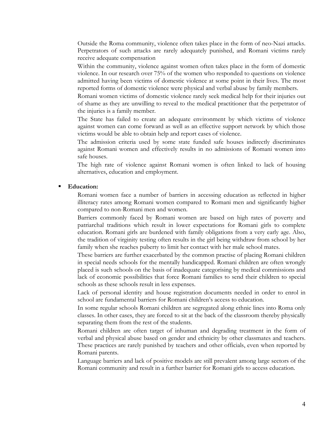Outside the Roma community, violence often takes place in the form of neo-Nazi attacks. Perpetrators of such attacks are rarely adequately punished, and Romani victims rarely receive adequate compensation

Within the community, violence against women often takes place in the form of domestic violence. In our research over 75% of the women who responded to questions on violence admitted having been victims of domestic violence at some point in their lives. The most reported forms of domestic violence were physical and verbal abuse by family members.

Romani women victims of domestic violence rarely seek medical help for their injuries out of shame as they are unwilling to reveal to the medical practitioner that the perpetrator of the injuries is a family member.

The State has failed to create an adequate environment by which victims of violence against women can come forward as well as an effective support network by which those victims would be able to obtain help and report cases of violence.

The admission criteria used by some state funded safe houses indirectly discriminates against Romani women and effectively results in no admissions of Romani women into safe houses.

The high rate of violence against Romani women is often linked to lack of housing alternatives, education and employment.

#### **Education:**

Romani women face a number of barriers in accessing education as reflected in higher illiteracy rates among Romani women compared to Romani men and significantly higher compared to non-Romani men and women.

Barriers commonly faced by Romani women are based on high rates of poverty and patriarchal traditions which result in lower expectations for Romani girls to complete education. Romani girls are burdened with family obligations from a very early age. Also, the tradition of virginity testing often results in the girl being withdraw from school by her family when she reaches puberty to limit her contact with her male school mates.

These barriers are further exacerbated by the common practise of placing Romani children in special needs schools for the mentally handicapped. Romani children are often wrongly placed is such schools on the basis of inadequate categorising by medical commissions and lack of economic possibilities that force Romani families to send their children to special schools as these schools result in less expenses.

Lack of personal identity and house registration documents needed in order to enrol in school are fundamental barriers for Romani children's access to education.

In some regular schools Romani children are segregated along ethnic lines into Roma only classes. In other cases, they are forced to sit at the back of the classroom thereby physically separating them from the rest of the students.

Romani children are often target of inhuman and degrading treatment in the form of verbal and physical abuse based on gender and ethnicity by other classmates and teachers. These practices are rarely punished by teachers and other officials, even when reported by Romani parents.

Language barriers and lack of positive models are still prevalent among large sectors of the Romani community and result in a further barrier for Romani girls to access education.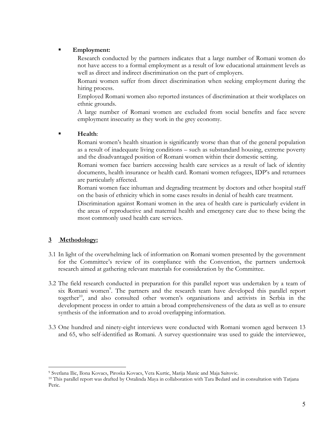### **Employment:**

Research conducted by the partners indicates that a large number of Romani women do not have access to a formal employment as a result of low educational attainment levels as well as direct and indirect discrimination on the part of employers.

Romani women suffer from direct discrimination when seeking employment during the hiring process.

Employed Romani women also reported instances of discrimination at their workplaces on ethnic grounds.

A large number of Romani women are excluded from social benefits and face severe employment insecurity as they work in the grey economy.

### **Health**:

Romani women's health situation is significantly worse than that of the general population as a result of inadequate living conditions – such as substandard housing, extreme poverty and the disadvantaged position of Romani women within their domestic setting.

Romani women face barriers accessing health care services as a result of lack of identity documents, health insurance or health card. Romani women refugees, IDP's and returnees are particularly affected.

Romani women face inhuman and degrading treatment by doctors and other hospital staff on the basis of ethnicity which in some cases results in denial of health care treatment.

Discrimination against Romani women in the area of health care is particularly evident in the areas of reproductive and maternal health and emergency care due to these being the most commonly used health care services.

# **3 Methodology:**

- 3.1 In light of the overwhelming lack of information on Romani women presented by the government for the Committee's review of its compliance with the Convention, the partners undertook research aimed at gathering relevant materials for consideration by the Committee.
- 3.2 The field research conducted in preparation for this parallel report was undertaken by a team of six Romani women<sup>[9](#page-4-0)</sup>. The partners and the research team have developed this parallel report together<sup>10</sup>, and also consulted other women's organisations and activists in Serbia in the development process in order to attain a broad comprehensiveness of the data as well as to ensure synthesis of the information and to avoid overlapping information.
- 3.3 One hundred and ninety-eight interviews were conducted with Romani women aged between 13 and 65, who self-identified as Romani. A survey questionnaire was used to guide the interviewee,

<sup>1</sup> 

<span id="page-4-1"></span><span id="page-4-0"></span><sup>9</sup> Svetlana Ilic, Ilona Kovacs, Piroska Kovacs, Vera Kurtic, Marija Manic and Maja Saitovic. 10 This parallel report was drafted by Ostalinda Maya in collaboration with Tara Bedard and in consultation with Tatjana Peric.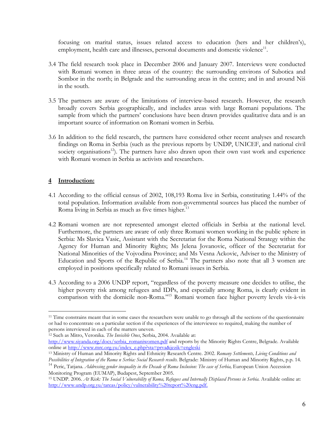focusing on marital status, issues related access to education (hers and her children's), employment, health care and illnesses, personal documents and domestic violence<sup>11</sup>.

- 3.4 The field research took place in December 2006 and January 2007. Interviews were conducted with Romani women in three areas of the country: the surrounding environs of Subotica and Sombor in the north; in Belgrade and the surrounding areas in the centre; and in and around Niš in the south.
- 3.5 The partners are aware of the limitations of interview-based research. However, the research broadly covers Serbia geographically, and includes areas with large Romani populations. The sample from which the partners' conclusions have been drawn provides qualitative data and is an important source of information on Romani women in Serbia.
- 3.6 In addition to the field research, the partners have considered other recent analyses and research findings on Roma in Serbia (such as the previous reports by UNDP, UNICEF, and national civil society organisations<sup>12</sup>. The partners have also drawn upon their own vast work and experience with Romani women in Serbia as activists and researchers.

# **4 Introduction:**

- 4.1 According to the official census of 2002, 108,193 Roma live in Serbia, constituting 1.44% of the total population. Information available from non-governmental sources has placed the number of Roma living in Serbia as much as five times higher.<sup>13</sup>
- 4.2 Romani women are not represented amongst elected officials in Serbia at the national level. Furthermore, the partners are aware of only three Romani women working in the public sphere in Serbia: Ms Slavica Vasic, Assistant with the Secretariat for the Roma National Strategy within the Agency for Human and Minority Rights; Ms Jelena Jovanovic, officer of the Secretariat for National Minorities of the Vojvodina Province; and Ms Vesna Ackovic, Adviser to the Ministry of Education and Sports of the Republic of Serbia.<sup>14</sup> The partners also note that all  $\beta$  women are employed in positions specifically related to Romani issues in Serbia.
- 4.3 According to a 2006 UNDP report, "regardless of the poverty measure one decides to utilise, the higher poverty risk among refugees and IDPs, and especially among Roma, is clearly evident in comparison with the domicile non-Roma."[15](#page-5-4) Romani women face higher poverty levels vis-à-vis

<span id="page-5-1"></span><sup>12</sup> Such as Mitro, Veronika. The Invisible Ones, Serbia, 2004. Available at:

<span id="page-5-0"></span><sup>1</sup> <sup>11</sup> Time constrains meant that in some cases the researchers were unable to go through all the sections of the questionnaire or had to concentrate on a particular section if the experiences of the interviewee so required, making the number of

[http://www.siyanda.org/docs/serbia\\_romaniwomen.pdf](http://www.siyanda.org/docs/serbia_romaniwomen.pdf) and reports by the Minority Rights Centre, Belgrade. Available<br>online at http://www.mrc.org.yu/index\_e.php?sta=prva&jezik=engleski

<span id="page-5-2"></span><sup>&</sup>lt;sup>13</sup> Ministry of Human and Minority Rights and Ethnicity Research Centre. 2002. *Romany Settlements, Living Conditions and Possibilities of Integration of the Roma n Serbia: Social Research results.* Belgrade: Ministry of Human and Minority Rights, p.p. 14.

<span id="page-5-3"></span><sup>14</sup> Peric, Tatjana. *Addressing gender inequality in the Decade of Roma Inclusion: The case of Serbia,* European Union Accession Monitoring Program (EUMAP), Budapest, September 2005.

<span id="page-5-4"></span><sup>15</sup> UNDP. 2006. *At Risk: The Social Vulnerability of Roma, Refugees and Internally Displaced Persons in Serbia.* Available online at: [http://www.undp.org.yu/tareas/policy/vulnerability%20report%20eng.pdf.](http://www.undp.org.yu/tareas/policy/vulnerability report eng.pdf.)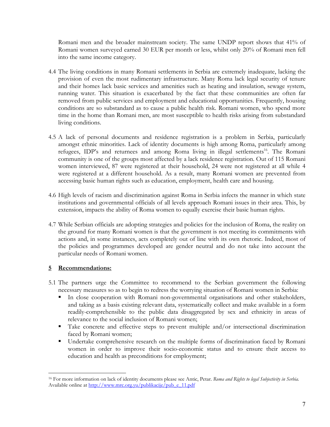Romani men and the broader mainstream society. The same UNDP report shows that 41% of Romani women surveyed earned 30 EUR per month or less, whilst only 20% of Romani men fell into the same income category.

- 4.4 The living conditions in many Romani settlements in Serbia are extremely inadequate, lacking the provision of even the most rudimentary infrastructure. Many Roma lack legal security of tenure and their homes lack basic services and amenities such as heating and insulation, sewage system, running water. This situation is exacerbated by the fact that these communities are often far removed from public services and employment and educational opportunities. Frequently, housing conditions are so substandard as to cause a public health risk. Romani women, who spend more time in the home than Romani men, are most susceptible to health risks arising from substandard living conditions.
- 4.5 A lack of personal documents and residence registration is a problem in Serbia, particularly amongst ethnic minorities. Lack of identity documents is high among Roma, particularly among refugees, IDP's and returnees and among Roma living in illegal settlements<sup>16</sup>. The Romani community is one of the groups most affected by a lack residence registration. Out of 115 Romani women interviewed, 87 were registered at their household, 24 were not registered at all while 4 were registered at a different household. As a result, many Romani women are prevented from accessing basic human rights such as education, employment, health care and housing.
- 4.6 High levels of racism and discrimination against Roma in Serbia infects the manner in which state institutions and governmental officials of all levels approach Romani issues in their area. This, by extension, impacts the ability of Roma women to equally exercise their basic human rights.
- 4.7 While Serbian officials are adopting strategies and policies for the inclusion of Roma, the reality on the ground for many Romani women is that the government is not meeting its commitments with actions and, in some instances, acts completely out of line with its own rhetoric. Indeed, most of the policies and programmes developed are gender neutral and do not take into account the particular needs of Romani women.

# **5 Recommendations:**

1

- 5.1 The partners urge the Committee to recommend to the Serbian government the following necessary measures so as to begin to redress the worrying situation of Romani women in Serbia:
	- In close cooperation with Romani non-governmental organisations and other stakeholders, and taking as a basis existing relevant data, systematically collect and make available in a form readily-comprehensible to the public data disaggregated by sex and ethnicity in areas of relevance to the social inclusion of Romani women;
	- Take concrete and effective steps to prevent multiple and/or intersectional discrimination faced by Romani women;
	- **Undertake comprehensive research on the multiple forms of discrimination faced by Romani** women in order to improve their socio-economic status and to ensure their access to education and health as preconditions for employment;

<span id="page-6-0"></span><sup>16</sup> For more information on lack of identity documents please see Antic, Petar. *Roma and Rights to legal Subjectivity in Serbia.*  Available online at [http://www.mrc.org.yu/publikacije/pub\\_e\\_11.pdf](http://www.mrc.org.yu/publikacije/pub_e_11.pdf)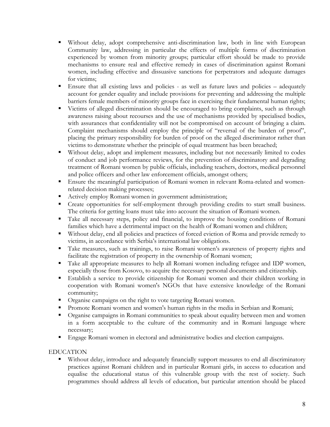- Without delay, adopt comprehensive anti-discrimination law, both in line with European Community law, addressing in particular the effects of multiple forms of discrimination experienced by women from minority groups; particular effort should be made to provide mechanisms to ensure real and effective remedy in cases of discrimination against Romani women, including effective and dissuasive sanctions for perpetrators and adequate damages for victims;
- Ensure that all existing laws and policies as well as future laws and policies adequately account for gender equality and include provisions for preventing and addressing the multiple barriers female members of minority groups face in exercising their fundamental human rights;
- Victims of alleged discrimination should be encouraged to bring complaints, such as through awareness raising about recourses and the use of mechanisms provided by specialised bodies, with assurances that confidentiality will not be compromised on account of bringing a claim. Complaint mechanisms should employ the principle of "reversal of the burden of proof", placing the primary responsibility for burden of proof on the alleged discriminator rather than victims to demonstrate whether the principle of equal treatment has been breached;
- Without delay, adopt and implement measures, including but not necessarily limited to codes of conduct and job performance reviews, for the prevention of discriminatory and degrading treatment of Romani women by public officials, including teachers, doctors, medical personnel and police officers and other law enforcement officials, amongst others;
- Ensure the meaningful participation of Romani women in relevant Roma-related and womenrelated decision making processes;
- Actively employ Romani women in government administration;
- Create opportunities for self-employment through providing credits to start small business. The criteria for getting loans must take into account the situation of Romani women.
- Take all necessary steps, policy and financial, to improve the housing conditions of Romani families which have a detrimental impact on the health of Romani women and children;
- Without delay, end all policies and practices of forced eviction of Roma and provide remedy to victims, in accordance with Serbia's international law obligations.
- Take measures, such as trainings, to raise Romani women's awareness of property rights and facilitate the registration of property in the ownership of Romani women;
- Take all appropriate measures to help all Romani women including refugee and IDP women, especially those from Kosovo, to acquire the necessary personal documents and citizenship.
- Establish a service to provide citizenship for Romani women and their children working in cooperation with Romani women's NGOs that have extensive knowledge of the Romani community;
- Organise campaigns on the right to vote targeting Romani women.
- **Promote Romani women and women's human rights in the media in Serbian and Romani;**
- Organise campaigns in Romani communities to speak about equality between men and women in a form acceptable to the culture of the community and in Romani language where necessary;
- **Engage Romani women in electoral and administrative bodies and election campaigns.**

#### EDUCATION

 Without delay, introduce and adequately financially support measures to end all discriminatory practices against Romani children and in particular Romani girls, in access to education and equalise the educational status of this vulnerable group with the rest of society. Such programmes should address all levels of education, but particular attention should be placed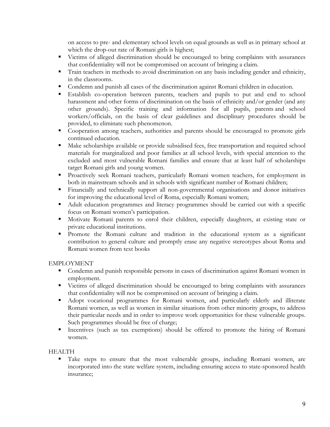on access to pre- and elementary school levels on equal grounds as well as in primary school at which the drop-out rate of Romani girls is highest;

- Victims of alleged discrimination should be encouraged to bring complaints with assurances that confidentiality will not be compromised on account of bringing a claim.
- **Train teachers in methods to avoid discrimination on any basis including gender and ethnicity,** in the classrooms.
- Condemn and punish all cases of the discrimination against Romani children in education.
- Establish co-operation between parents, teachers and pupils to put and end to school harassment and other forms of discrimination on the basis of ethnicity and/or gender (and any other grounds). Specific training and information for all pupils, parents and school workers/officials, on the basis of clear guidelines and disciplinary procedures should be provided, to eliminate such phenomenon.
- Cooperation among teachers, authorities and parents should be encouraged to promote girls continued education.
- Make scholarships available or provide subsidised fees, free transportation and required school materials for marginalized and poor families at all school levels, with special attention to the excluded and most vulnerable Romani families and ensure that at least half of scholarships target Romani girls and young women.
- Proactively seek Romani teachers, particularly Romani women teachers, for employment in both in mainstream schools and in schools with significant number of Romani children;
- Financially and technically support all non-governmental organisations and donor initiatives for improving the educational level of Roma, especially Romani women;
- Adult education programmes and literacy programmes should be carried out with a specific focus on Romani women's participation.
- Motivate Romani parents to enrol their children, especially daughters, at existing state or private educational institutions.
- Promote the Romani culture and tradition in the educational system as a significant contribution to general culture and promptly erase any negative stereotypes about Roma and Romani women from text books

# EMPLOYMENT

- Condemn and punish responsible persons in cases of discrimination against Romani women in employment.
- Victims of alleged discrimination should be encouraged to bring complaints with assurances that confidentiality will not be compromised on account of bringing a claim.
- Adopt vocational programmes for Romani women, and particularly elderly and illiterate Romani women, as well as women in similar situations from other minority groups, to address their particular needs and in order to improve work opportunities for these vulnerable groups. Such programmes should be free of charge;
- Incentives (such as tax exemptions) should be offered to promote the hiring of Romani women.

# **HEALTH**

Take steps to ensure that the most vulnerable groups, including Romani women, are incorporated into the state welfare system, including ensuring access to state-sponsored health insurance;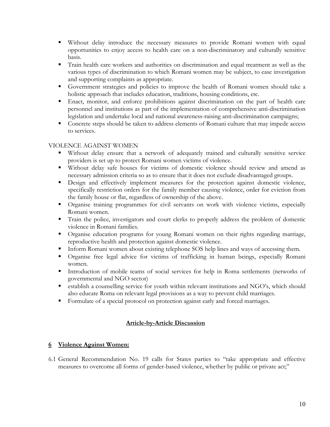- Without delay introduce the necessary measures to provide Romani women with equal opportunities to enjoy access to health care on a non-discriminatory and culturally sensitive basis.
- Train health care workers and authorities on discrimination and equal treatment as well as the various types of discrimination to which Romani women may be subject, to ease investigation and supporting complaints as appropriate.
- Government strategies and policies to improve the health of Romani women should take a holistic approach that includes education, traditions, housing conditions, etc.
- Enact, monitor, and enforce prohibitions against discrimination on the part of health care personnel and institutions as part of the implementation of comprehensive anti-discrimination legislation and undertake local and national awareness-raising anti-discrimination campaigns;
- Concrete steps should be taken to address elements of Romani culture that may impede access to services.

# VIOLENCE AGAINST WOMEN

- Without delay ensure that a network of adequately trained and culturally sensitive service providers is set up to protect Romani women victims of violence.
- Without delay safe houses for victims of domestic violence should review and amend as necessary admission criteria so as to ensure that it does not exclude disadvantaged groups.
- Design and effectively implement measures for the protection against domestic violence, specifically restriction orders for the family member causing violence, order for eviction from the family house or flat, regardless of ownership of the above.
- Organise training programmes for civil servants on work with violence victims, especially Romani women.
- Train the police, investigators and court clerks to properly address the problem of domestic violence in Romani families.
- Organise education programs for young Romani women on their rights regarding marriage, reproductive health and protection against domestic violence.
- Inform Romani women about existing telephone SOS help lines and ways of accessing them.
- Organise free legal advice for victims of trafficking in human beings, especially Romani women.
- Introduction of mobile teams of social services for help in Roma settlements (networks of governmental and NGO sector)
- establish a counselling service for youth within relevant institutions and NGO's, which should also educate Roma on relevant legal provisions as a way to prevent child marriages.
- Formulate of a special protocol on protection against early and forced marriages.

# **Article-by-Article Discussion**

# **6 Violence Against Women:**

6.1 General Recommendation No. 19 calls for States parties to "take appropriate and effective measures to overcome all forms of gender-based violence, whether by public or private act;"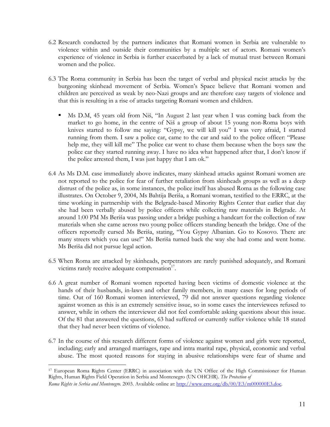- 6.2 Research conducted by the partners indicates that Romani women in Serbia are vulnerable to violence within and outside their communities by a multiple set of actors. Romani women's experience of violence in Serbia is further exacerbated by a lack of mutual trust between Romani women and the police.
- 6.3 The Roma community in Serbia has been the target of verbal and physical racist attacks by the burgeoning skinhead movement of Serbia. Women's Space believe that Romani women and children are perceived as weak by neo-Nazi groups and are therefore easy targets of violence and that this is resulting in a rise of attacks targeting Romani women and children.
	- Ms D.M, 45 years old from Niš, "In August 2 last year when I was coming back from the market to go home, in the centre of Niš a group of about 15 young non-Roma boys with knives started to follow me saying: "Gypsy, we will kill you" I was very afraid, I started running from them. I saw a police car, came to the car and said to the police officer: "Please help me, they will kill me" The police car went to chase them because when the boys saw the police car they started running away. I have no idea what happened after that, I don't know if the police arrested them, I was just happy that I am ok."
- 6.4 As Ms D.M. case immediately above indicates, many skinhead attacks against Romani women are not reported to the police for fear of further retaliation from skinheads groups as well as a deep distrust of the police as, in some instances, the police itself has abused Roma as the following case illustrates. On October 9, 2004, Ms Bahtija Beriša, a Romani woman, testified to the ERRC, at the time working in partnership with the Belgrade-based Minority Rights Center that earlier that day she had been verbally abused by police officers while collecting raw materials in Belgrade. At around 1:00 PM Ms Beriša was passing under a bridge pushing a handcart for the collection of raw materials when she came across two young police officers standing beneath the bridge. One of the officers reportedly cursed Ms Beriša, stating, "You Gypsy Albanian. Go to Kosovo. There are many streets which you can use!" Ms Beriša turned back the way she had come and went home. Ms Beriša did not pursue legal action.
- 6.5 When Roma are attacked by skinheads, perpetrators are rarely punished adequately, and Romani victims rarely receive adequate compensation $17$ .
- 6.6 A great number of Romani women reported having been victims of domestic violence at the hands of their husbands, in-laws and other family members, in many cases for long periods of time. Out of 160 Romani women interviewed, 79 did not answer questions regarding violence against women as this is an extremely sensitive issue, so in some cases the interviewees refused to answer, while in others the interviewer did not feel comfortable asking questions about this issue. Of the 81 that answered the questions, 63 had suffered or currently suffer violence while 18 stated that they had never been victims of violence.
- 6.7 In the course of this research different forms of violence against women and girls were reported, including; early and arranged marriages, rape and intra marital rape, physical, economic and verbal abuse. The most quoted reasons for staying in abusive relationships were fear of shame and

<span id="page-10-0"></span><sup>17</sup> European Roma Rights Center (ERRC) in association with the UN Office of the High Commissioner for Human Rights, Human Rights Field Operation in Serbia and Montenegro (UN OHCHR). *The Protection of* 

*Roma Rights in Serbia and Montenegro*. 2003. Available online at:<http://www.errc.org/db/00/E3/m000000E3.doc>.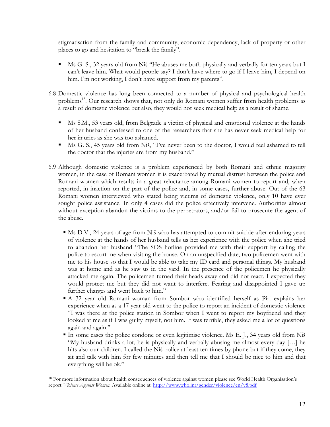stigmatisation from the family and community, economic dependency, lack of property or other places to go and hesitation to "break the family".

- Ms G. S., 32 years old from Niš "He abuses me both physically and verbally for ten years but I can't leave him. What would people say? I don't have where to go if I leave him, I depend on him. I'm not working, I don't have support from my parents".
- 6.8 Domestic violence has long been connected to a number of physical and psychological health problems<sup>18</sup>. Our research shows that, not only do Romani women suffer from health problems as a result of domestic violence but also, they would not seek medical help as a result of shame.
	- Ms S.M., 53 years old, from Belgrade a victim of physical and emotional violence at the hands of her husband confessed to one of the researchers that she has never seek medical help for her injuries as she was too ashamed.
	- Ms G. S., 45 years old from Niš, "I've never been to the doctor, I would feel ashamed to tell the doctor that the injuries are from my husband."
- 6.9 Although domestic violence is a problem experienced by both Romani and ethnic majority women, in the case of Romani women it is exacerbated by mutual distrust between the police and Romani women which results in a great reluctance among Romani women to report and, when reported, in inaction on the part of the police and, in some cases, further abuse. Out of the 63 Romani women interviewed who stated being victims of domestic violence, only 10 have ever sought police assistance. In only 4 cases did the police effectively intervene. Authorities almost without exception abandon the victims to the perpetrators, and/or fail to prosecute the agent of the abuse.
	- Ms D.V., 24 years of age from Niš who has attempted to commit suicide after enduring years of violence at the hands of her husband tells us her experience with the police when she tried to abandon her husband "The SOS hotline provided me with their support by calling the police to escort me when visiting the house. On an unspecified date, two policemen went with me to his house so that I would be able to take my ID card and personal things. My husband was at home and as he saw us in the yard. In the presence of the policemen he physically attacked me again. The policemen turned their heads away and did not react. I expected they would protect me but they did not want to interfere. Fearing and disappointed I gave up further charges and went back to him."
	- A 32 year old Romani woman from Sombor who identified herself as Piri explains her experience when as a 17 year old went to the police to report an incident of domestic violence "I was there at the police station in Sombor when I went to report my boyfriend and they looked at me as if I was guilty myself, not him. It was terrible, they asked me a lot of questions again and again."
	- In some cases the police condone or even legitimise violence. Ms E. J., 34 years old from Niš "My husband drinks a lot, he is physically and verbally abusing me almost every day […] he hits also our children. I called the Niš police at least ten times by phone but if they come, they sit and talk with him for few minutes and then tell me that I should be nice to him and that everything will be ok."

<span id="page-11-0"></span><sup>&</sup>lt;sup>18</sup> For more information about health consequences of violence against women please see World Health Organisation's report *Violence Against Women*. Available online at:<http://www.who.int/gender/violence/en/v8.pdf>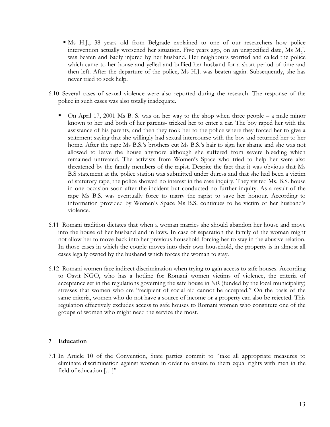- Ms H.J., 38 years old from Belgrade explained to one of our researchers how police intervention actually worsened her situation. Five years ago, on an unspecified date, Ms M.J. was beaten and badly injured by her husband. Her neighbours worried and called the police which came to her house and yelled and bullied her husband for a short period of time and then left. After the departure of the police, Ms H.J. was beaten again. Subsequently, she has never tried to seek help.
- 6.10 Several cases of sexual violence were also reported during the research. The response of the police in such cases was also totally inadequate.
	- $\blacksquare$  On April 17, 2001 Ms B. S. was on her way to the shop when three people a male minor known to her and both of her parents- tricked her to enter a car. The boy raped her with the assistance of his parents, and then they took her to the police where they forced her to give a statement saying that she willingly had sexual intercourse with the boy and returned her to her home. After the rape Ms B.S.'s brothers cut Ms B.S.'s hair to sign her shame and she was not allowed to leave the house anymore although she suffered from severe bleeding which remained untreated. The activists from Women's Space who tried to help her were also threatened by the family members of the rapist. Despite the fact that it was obvious that Ms B.S statement at the police station was submitted under duress and that she had been a victim of statutory rape, the police showed no interest in the case inquiry. They visited Ms. B.S. house in one occasion soon after the incident but conducted no further inquiry. As a result of the rape Ms B.S. was eventually force to marry the rapist to save her honour. According to information provided by Women's Space Ms B.S. continues to be victim of her husband's violence.
- 6.11 Romani tradition dictates that when a woman marries she should abandon her house and move into the house of her husband and in laws. In case of separation the family of the woman might not allow her to move back into her previous household forcing her to stay in the abusive relation. In those cases in which the couple moves into their own household, the property is in almost all cases legally owned by the husband which forces the woman to stay.
- 6.12 Romani women face indirect discrimination when trying to gain access to safe houses. According to Osvit NGO, who has a hotline for Romani women victims of violence, the criteria of acceptance set in the regulations governing the safe house in Niš (funded by the local municipality) stresses that women who are "recipient of social aid cannot be accepted." On the basis of the same criteria, women who do not have a source of income or a property can also be rejected. This regulation effectively excludes access to safe houses to Romani women who constitute one of the groups of women who might need the service the most.

#### **7 Education**

7.1 In Article 10 of the Convention, State parties commit to "take all appropriate measures to eliminate discrimination against women in order to ensure to them equal rights with men in the field of education […]"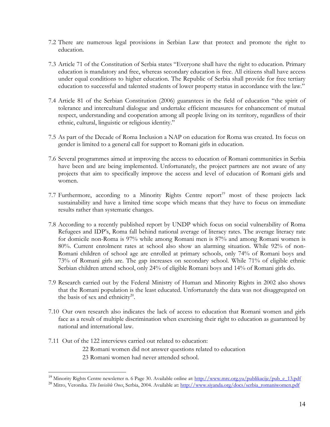- 7.2 There are numerous legal provisions in Serbian Law that protect and promote the right to education.
- 7.3 Article 71 of the Constitution of Serbia states "Everyone shall have the right to education. Primary education is mandatory and free, whereas secondary education is free. All citizens shall have access under equal conditions to higher education. The Republic of Serbia shall provide for free tertiary education to successful and talented students of lower property status in accordance with the law."
- 7.4 Article 81 of the Serbian Constitution (2006) guarantees in the field of education "the spirit of tolerance and intercultural dialogue and undertake efficient measures for enhancement of mutual respect, understanding and cooperation among all people living on its territory, regardless of their ethnic, cultural, linguistic or religious identity."
- 7.5 As part of the Decade of Roma Inclusion a NAP on education for Roma was created. Its focus on gender is limited to a general call for support to Romani girls in education.
- 7.6 Several programmes aimed at improving the access to education of Romani communities in Serbia have been and are being implemented. Unfortunately, the project partners are not aware of any projects that aim to specifically improve the access and level of education of Romani girls and women.
- 7.7 Furthermore, according to a Minority Rights Centre report<sup>19</sup> most of these projects lack sustainability and have a limited time scope which means that they have to focus on immediate results rather than systematic changes.
- 7.8 According to a recently published report by UNDP which focus on social vulnerability of Roma Refugees and IDP's, Roma fall behind national average of literacy rates. The average literacy rate for domicile non-Roma is 97% while among Romani men is 87% and among Romani women is 80%. Current enrolment rates at school also show an alarming situation. While 92% of non-Romani children of school age are enrolled at primary schools, only 74% of Romani boys and 73% of Romani girls are. The gap increases on secondary school. While 71% of eligible ethnic Serbian children attend school, only 24% of eligible Romani boys and 14% of Romani girls do.
- 7.9 Research carried out by the Federal Ministry of Human and Minority Rights in 2002 also shows that the Romani population is the least educated. Unfortunately the data was not disaggregated on the basis of sex and ethnicity<sup>20</sup>.
- 7.10 Our own research also indicates the lack of access to education that Romani women and girls face as a result of multiple discrimination when exercising their right to education as guaranteed by national and international law.
- 7.11 Out of the 122 interviews carried out related to education:
	- 22 Romani women did not answer questions related to education
	- 23 Romani women had never attended school.

<span id="page-13-0"></span><sup>&</sup>lt;sup>19</sup> Minority Rights Centre newsletter n. 6 Page 30. Available online at: http://www.mrc.org.yu/publikacije/pub\_e\_13.pdf

<span id="page-13-1"></span><sup>&</sup>lt;sup>20</sup> Mitro. Veronika. The Invisible Ones, Serbia, 2004. Available at: [http://www.siyanda.org/docs/serbia\\_romaniwomen.pdf](http://www.siyanda.org/docs/serbia_romaniwomen.pdf)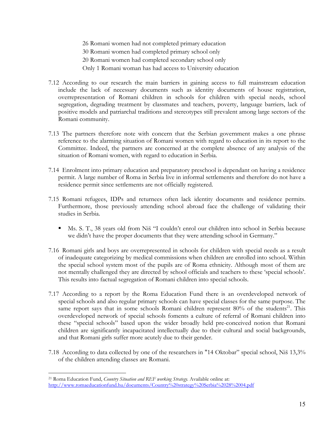26 Romani women had not completed primary education 30 Romani women had completed primary school only

20 Romani women had completed secondary school only

Only 1 Romani woman has had access to University education

- 7.12 According to our research the main barriers in gaining access to full mainstream education include the lack of necessary documents such as identity documents of house registration, overrepresentation of Romani children in schools for children with special needs, school segregation, degrading treatment by classmates and teachers, poverty, language barriers, lack of positive models and patriarchal traditions and stereotypes still prevalent among large sectors of the Romani community.
- 7.13 The partners therefore note with concern that the Serbian government makes a one phrase reference to the alarming situation of Romani women with regard to education in its report to the Committee. Indeed, the partners are concerned at the complete absence of any analysis of the situation of Romani women, with regard to education in Serbia.
- 7.14 Enrolment into primary education and preparatory preschool is dependant on having a residence permit. A large number of Roma in Serbia live in informal settlements and therefore do not have a residence permit since settlements are not officially registered.
- 7.15 Romani refugees, IDPs and returnees often lack identity documents and residence permits. Furthermore, those previously attending school abroad face the challenge of validating their studies in Serbia.
	- Ms. S. T., 38 years old from Niš "I couldn't enrol our children into school in Serbia because we didn't have the proper documents that they were attending school in Germany."
- 7.16 Romani girls and boys are overrepresented in schools for children with special needs as a result of inadequate categorizing by medical commissions when children are enrolled into school. Within the special school system most of the pupils are of Roma ethnicity. Although most of them are not mentally challenged they are directed by school officials and teachers to these 'special schools'. This results into factual segregation of Romani children into special schools.
- 7.17 According to a report by the Roma Education Fund there is an overdeveloped network of special schools and also regular primary schools can have special classes for the same purpose. The same report says that in some schools Romani children represent  $80\%$  of the students<sup>21</sup>. This overdeveloped network of special schools foments a culture of referral of Romani children into these "special schools" based upon the wider broadly held pre-conceived notion that Romani children are significantly incapacitated intellectually due to their cultural and social backgrounds, and that Romani girls suffer more acutely due to their gender.
- 7.18 According to data collected by one of the researchers in "14 Oktobar" special school, Niš 13,3% of the children attending classes are Romani.

1

<span id="page-14-0"></span><sup>21</sup> Roma Education Fund, *Country Situation and REF working Strategy.* Available online at: [http://www.romaeducationfund.hu/documents/Country%20strategy%20Serbia%2028%2004.pdf](http://www.romaeducationfund.hu/documents/Country strategy Serbia 28 04.pdf)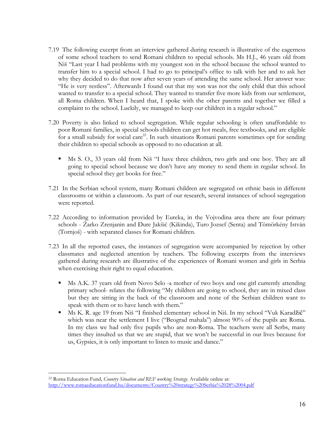- 7.19 The following excerpt from an interview gathered during research is illustrative of the eagerness of some school teachers to send Romani children to special schools. Ms H.J., 46 years old from Niš "Last year I had problems with my youngest son in the school because the school wanted to transfer him to a special school. I had to go to principal's office to talk with her and to ask her why they decided to do that now after seven years of attending the same school. Her answer was: "He is very restless". Afterwards I found out that my son was not the only child that this school wanted to transfer to a special school. They wanted to transfer five more kids from our settlement, all Roma children. When I heard that, I spoke with the other parents and together we filled a complaint to the school. Luckily, we managed to keep our children in a regular school."
- 7.20 Poverty is also linked to school segregation. While regular schooling is often unaffordable to poor Romani families, in special schools children can get hot meals, free textbooks, and are eligible for a small subsidy for social care<sup>22</sup>. In such situations Romani parents sometimes opt for sending their children to special schools as opposed to no education at all.
	- Ms S. O., 33 years old from Niš "I have three children, two girls and one boy. They are all going to special school because we don't have any money to send them in regular school. In special school they get books for free."
- 7.21 In the Serbian school system, many Romani children are segregated on ethnic basis in different classrooms or within a classroom. As part of our research, several instances of school segregation were reported.
- 7.22 According to information provided by Eureka, in the Vojvodina area there are four primary schools - Žarko Zrenjanin and Đure Jakšić (Kikinda), Turo Jozsef (Senta) and Tömörkény István (Tornjoš) - with separated classes for Romani children.
- 7.23 In all the reported cases, the instances of segregation were accompanied by rejection by other classmates and neglected attention by teachers. The following excerpts from the interviews gathered during research are illustrative of the experiences of Romani women and girls in Serbia when exercising their right to equal education.
	- Ms A.K. 37 years old from Novo Selo -a mother of two boys and one girl currently attending primary school- relates the following "My children are going to school, they are in mixed class but they are sitting in the back of the classroom and none of the Serbian children want to speak with them or to have lunch with them."
	- Ms K. R. age 19 from Niš "I finished elementary school in Niš. In my school "Vuk Karadžić" which was near the settlement I live ("Beograd mahala") almost 90% of the pupils are Roma. In my class we had only five pupils who are non-Roma. The teachers were all Serbs, many times they insulted us that we are stupid, that we won't be successful in our lives because for us, Gypsies, it is only important to listen to music and dance."

<span id="page-15-0"></span><sup>22</sup> Roma Education Fund, *Country Situation and REF working Strategy.* Available online at: [http://www.romaeducationfund.hu/documents/Country%20strategy%20Serbia%2028%2004.pdf](http://www.romaeducationfund.hu/documents/Country strategy Serbia 28 04.pdf)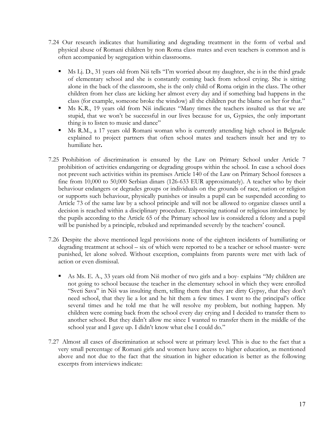- 7.24 Our research indicates that humiliating and degrading treatment in the form of verbal and physical abuse of Romani children by non Roma class mates and even teachers is common and is often accompanied by segregation within classrooms.
	- Ms Lj. D., 31 years old from Niš tells "I'm worried about my daughter, she is in the third grade of elementary school and she is constantly coming back from school crying. She is sitting alone in the back of the classroom, she is the only child of Roma origin in the class. The other children from her class are kicking her almost every day and if something bad happens in the class (for example, someone broke the window) all the children put the blame on her for that."
	- Ms K.R., 19 years old from Niš indicates "Many times the teachers insulted us that we are stupid, that we won't be successful in our lives because for us, Gypsies, the only important thing is to listen to music and dance"
	- Ms R.M., a 17 years old Romani woman who is currently attending high school in Belgrade explained to project partners that often school mates and teachers insult her and try to humiliate her**.**
- 7.25 Prohibition of discrimination is ensured by the Law on Primary School under Article 7 prohibition of activities endangering or degrading groups within the school. In case a school does not prevent such activities within its premises Article 140 of the Law on Primary School foresees a fine from 10,000 to 50,000 Serbian dinars (126-633 EUR approximately). A teacher who by their behaviour endangers or degrades groups or individuals on the grounds of race, nation or religion or supports such behaviour, physically punishes or insults a pupil can be suspended according to Article 73 of the same law by a school principle and will not be allowed to organize classes until a decision is reached within a disciplinary procedure. Expressing national or religious intolerance by the pupils according to the Article 65 of the Primary school law is considered a felony and a pupil will be punished by a principle, rebuked and reprimanded severely by the teachers' council.
- 7.26 Despite the above mentioned legal provisions none of the eighteen incidents of humiliating or degrading treatment at school – six of which were reported to be a teacher or school master- were punished, let alone solved. Without exception, complaints from parents were met with lack of action or even dismissal.
	- As Ms. E. A., 33 years old from Niš mother of two girls and a boy- explains "My children are not going to school because the teacher in the elementary school in which they were enrolled "Sveti Sava" in Niš was insulting them, telling them that they are dirty Gypsy, that they don't need school, that they lie a lot and he hit them a few times. I went to the principal's office several times and he told me that he will resolve my problem, but nothing happen. My children were coming back from the school every day crying and I decided to transfer them to another school. But they didn't allow me since I wanted to transfer them in the middle of the school year and I gave up. I didn't know what else I could do."
- 7.27 Almost all cases of discrimination at school were at primary level. This is due to the fact that a very small percentage of Romani girls and women have access to higher education, as mentioned above and not due to the fact that the situation in higher education is better as the following excerpts from interviews indicate: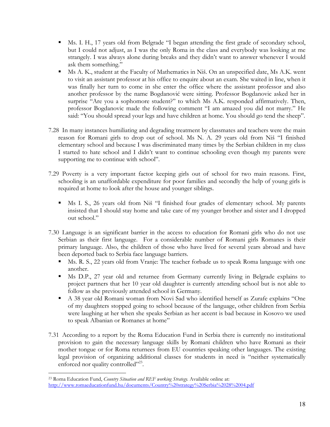- Ms. I. H., 17 years old from Belgrade "I began attending the first grade of secondary school, but I could not adjust, as I was the only Roma in the class and everybody was looking at me strangely. I was always alone during breaks and they didn't want to answer whenever I would ask them something."
- Ms A. K., student at the Faculty of Mathematics in Niš. On an unspecified date, Ms A.K. went to visit an assistant professor at his office to enquire about an exam. She waited in line, when it was finally her turn to come in she enter the office where the assistant professor and also another professor by the name Bogdanović were sitting. Professor Bogdanovic asked her in surprise "Are you a sophomore student?" to which Ms A.K. responded affirmatively. Then, professor Bogdanovic made the following comment "I am amazed you did not marry." He said: "You should spread your legs and have children at home. You should go tend the sheep".
- 7.28 In many instances humiliating and degrading treatment by classmates and teachers were the main reason for Romani girls to drop out of school. Ms N. A. 29 years old from Niš "I finished elementary school and because I was discriminated many times by the Serbian children in my class I started to hate school and I didn't want to continue schooling even though my parents were supporting me to continue with school".
- 7.29 Poverty is a very important factor keeping girls out of school for two main reasons. First, schooling is an unaffordable expenditure for poor families and secondly the help of young girls is required at home to look after the house and younger siblings.
	- Ms I. S., 26 years old from Niš "I finished four grades of elementary school. My parents insisted that I should stay home and take care of my younger brother and sister and I dropped out school."
- 7.30 Language is an significant barrier in the access to education for Romani girls who do not use Serbian as their first language. For a considerable number of Romani girls Romanes is their primary language. Also, the children of those who have lived for several years abroad and have been deported back to Serbia face language barriers.
	- Ms. R. S., 22 years old from Vranje: The teacher forbade us to speak Roma language with one another.
	- Ms D.P., 27 year old and returnee from Germany currently living in Belgrade explains to project partners that her 10 year old daughter is currently attending school but is not able to follow as she previously attended school in Germany.
	- A 38 year old Romani woman from Novi Sad who identified herself as Zurafe explains "One of my daughters stopped going to school because of the language, other children from Serbia were laughing at her when she speaks Serbian as her accent is bad because in Kosovo we used to speak Albanian or Romanes at home"
- 7.31 According to a report by the Roma Education Fund in Serbia there is currently no institutional provision to gain the necessary language skills by Romani children who have Romani as their mother tongue or for Roma returnees from EU countries speaking other languages. The existing legal provision of organizing additional classes for students in need is "neither systematically enforced nor quality controlled"<sup>23</sup>.

<span id="page-17-0"></span> $\overline{a}$ 23 Roma Education Fund, *Country Situation and REF working Strategy.* Available online at: [http://www.romaeducationfund.hu/documents/Country%20strategy%20Serbia%2028%2004.pdf](http://www.romaeducationfund.hu/documents/Country strategy Serbia 28 04.pdf)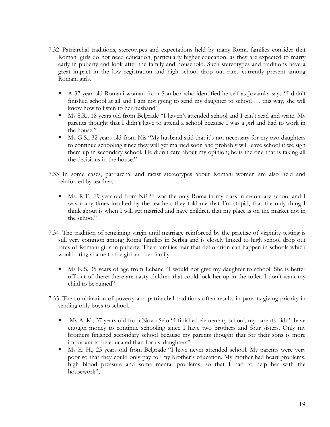- 7.32 Patriarchal traditions, stereotypes and expectations held by many Roma families consider that Romani girls do not need education, particularly higher education, as they are expected to marry early in puberty and look after the family and household. Such stereotypes and traditions have a great impact in the low registration and high school drop out rates currently present among Romani girls.
	- A 37 year old Romani woman from Sombor who identified herself as Jovamka says "I didn't finished school at all and I am not going to send my daughter to school … this way, she will know how to listen to her husband".
	- Ms S.R., 18 years old from Belgrade "I haven't attended school and I can't read and write. My parents thought that I didn't have to attend a school because I was a girl and had to work in the house."
	- Ms G.S., 32 years old from Niš "My husband said that it's not necessary for my two daughters to continue schooling since they will get married soon and probably will leave school if we sign them up in secondary school. He didn't care about my opinion; he is the one that is taking all the decisions in the house."
- 7.33 In some cases, patriarchal and racist stereotypes about Romani women are also held and reinforced by teachers.
	- Ms. R.T., 19 year-old from Niš "I was the only Roma in my class in secondary school and I was many times insulted by the teachers-they told me that I'm stupid, that the only thing I think about is when I will get married and have children that my place is on the market not in the school"
- 7.34 The tradition of remaining virgin until marriage reinforced by the practise of virginity testing is still very common among Roma families in Serbia and is closely linked to high school drop out rates of Romani girls in puberty. Their families fear that defloration can happen in schools which would bring shame to the girl and her family.
	- Ms K.S. 35 years of age from Lebane "I would not give my daughter to school. She is better off out of there; there are nasty children that could lock her up in the toilet. I don't want my child to be ruined"
- 7.35 The combination of poverty and patriarchal traditions often results in parents giving priority in sending only boys to school.
	- Ms A. K., 37 years old from Novo Selo "I finished elementary school, my parents didn't have enough money to continue schooling since I have two brothers and four sisters. Only my brothers finished secondary school because my parents thought that for their sons is more important to be educated than for us, daughters"
	- Ms E. H., 23 years old from Belgrade "I have never attended school. My parents were very poor so that they could only pay for my brother's education. My mother had heart problems, high blood pressure and some mental problems, so that I had to help her with the housework",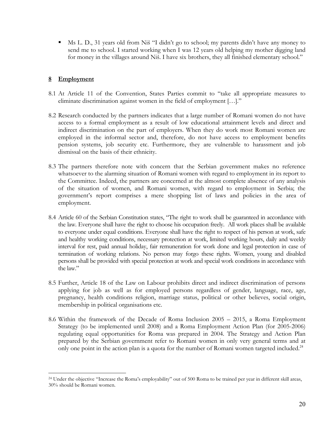Ms L. D., 31 years old from Niš "I didn't go to school; my parents didn't have any money to send me to school. I started working when I was 12 years old helping my mother digging land for money in the villages around Niš. I have six brothers, they all finished elementary school."

# **8 Employment**

- 8.1 At Article 11 of the Convention, States Parties commit to "take all appropriate measures to eliminate discrimination against women in the field of employment […]."
- 8.2 Research conducted by the partners indicates that a large number of Romani women do not have access to a formal employment as a result of low educational attainment levels and direct and indirect discrimination on the part of employers. When they do work most Romani women are employed in the informal sector and, therefore, do not have access to employment benefits pension systems, job security etc. Furthermore, they are vulnerable to harassment and job dismissal on the basis of their ethnicity.
- 8.3 The partners therefore note with concern that the Serbian government makes no reference whatsoever to the alarming situation of Romani women with regard to employment in its report to the Committee. Indeed, the partners are concerned at the almost complete absence of any analysis of the situation of women, and Romani women, with regard to employment in Serbia; the government's report comprises a mere shopping list of laws and policies in the area of employment.
- 8.4 Article 60 of the Serbian Constitution states, "The right to work shall be guaranteed in accordance with the law. Everyone shall have the right to choose his occupation freely. All work places shall be available to everyone under equal conditions. Everyone shall have the right to respect of his person at work, safe and healthy working conditions, necessary protection at work, limited working hours, daily and weekly interval for rest, paid annual holiday, fair remuneration for work done and legal protection in case of termination of working relations. No person may forgo these rights. Women, young and disabled persons shall be provided with special protection at work and special work conditions in accordance with the law"
- 8.5 Further, Article 18 of the Law on Labour prohibits direct and indirect discrimination of persons applying for job as well as for employed persons regardless of gender, language, race, age, pregnancy, health conditions religion, marriage status, political or other believes, social origin, membership in political organisations etc.
- 8.6 Within the framework of the Decade of Roma Inclusion 2005 2015, a Roma Employment Strategy (to be implemented until 2008) and a Roma Employment Action Plan (for 2005-2006) regulating equal opportunities for Roma was prepared in 2004. The Strategy and Action Plan prepared by the Serbian government refer to Romani women in only very general terms and at only one point in the action plan is a quota for the number of Romani women targeted included.<sup>[24](#page-19-0)</sup>

<span id="page-19-0"></span><sup>1</sup> <sup>24</sup> Under the objective "Increase the Roma's employability" out of 500 Roma to be trained per year in different skill areas, 30% should be Romani women.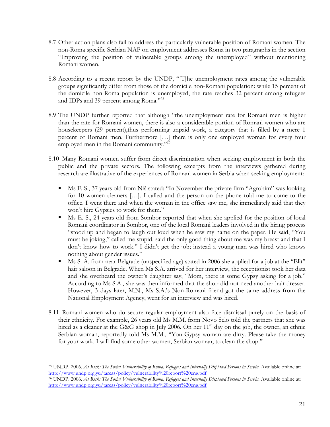- 8.7 Other action plans also fail to address the particularly vulnerable position of Romani women. The non-Roma specific Serbian NAP on employment addresses Roma in two paragraphs in the section "Improving the position of vulnerable groups among the unemployed" without mentioning Romani women.
- 8.8 According to a recent report by the UNDP, "[T]he unemployment rates among the vulnerable groups significantly differ from those of the domicile non-Romani population: while 15 percent of the domicile non-Roma population is unemployed, the rate reaches 32 percent among refugees and IDPs and 39 percent among Roma."<sup>[25](#page-20-0)</sup>
- 8.9 The UNDP further reported that although "the unemployment rate for Romani men is higher than the rate for Romani women, there is also a considerable portion of Romani women who are housekeepers (29 percent), thus performing unpaid work, a category that is filled by a mere 1 percent of Romani men. Furthermore […] there is only one employed woman for every four employed men in the Romani community."<sup>[26](#page-20-1)</sup>
- 8.10 Many Romani women suffer from direct discrimination when seeking employment in both the public and the private sectors. The following excerpts from the interviews gathered during research are illustrative of the experiences of Romani women in Serbia when seeking employment:
	- Ms F. S., 37 years old from Niš stated: "In November the private firm "Agrohim" was looking for 10 women cleaners […]. I called and the person on the phone told me to come to the office. I went there and when the woman in the office saw me, she immediately said that they won't hire Gypsies to work for them."
	- Ms E. S., 24 years old from Sombor reported that when she applied for the position of local Romani coordinator in Sombor, one of the local Romani leaders involved in the hiring process "stood up and began to laugh out loud when he saw my name on the paper. He said, "You must be joking," called me stupid, said the only good thing about me was my breast and that I don't know how to work." I didn't get the job; instead a young man was hired who knows nothing about gender issues."
	- Ms S. A. from near Belgrade (unspecified age) stated in 2006 she applied for a job at the "Elit" hair saloon in Belgrade. When Ms S.A. arrived for her interview, the receptionist took her data and she overheard the owner's daughter say, "Mom, there is some Gypsy asking for a job." According to Ms S.A., she was then informed that the shop did not need another hair dresser. However, 3 days later, M.N., Ms S.A.'s Non-Romani friend got the same address from the National Employment Agency, went for an interview and was hired.
- 8.11 Romani women who do secure regular employment also face dismissal purely on the basis of their ethnicity. For example, 26 years old Ms M.M. from Novo Selo told the partners that she was hired as a cleaner at the G&G shop in July 2006. On her 11<sup>th</sup> day on the job, the owner, an ethnic Serbian woman, reportedly told Ms M.M., "You Gypsy woman are dirty. Please take the money for your work. I will find some other women, Serbian woman, to clean the shop."

<span id="page-20-0"></span><sup>1</sup> 25 UNDP. 2006. *At Risk: The Social Vulnerability of Roma, Refugees and Internally Displaced Persons in Serbia.* Available online at:

<span id="page-20-1"></span><sup>&</sup>lt;sup>26</sup> UNDP. 2006. *At Risk: The Social Vulnerability of Roma, Refugees and Internally Displaced Persons in Serbia. Available online at:* [http://www.undp.org.yu/tareas/policy/vulnerability%20report%20eng.pdf](http://www.undp.org.yu/tareas/policy/vulnerability report eng.pdf)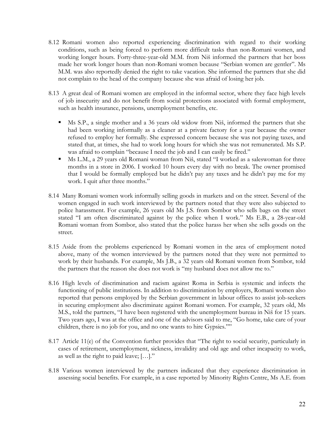- 8.12 Romani women also reported experiencing discrimination with regard to their working conditions, such as being forced to perform more difficult tasks than non-Romani women, and working longer hours. Forty-three-year-old M.M. from Niš informed the partners that her boss made her work longer hours than non-Romani women because "Serbian women are gentler". Ms M.M. was also reportedly denied the right to take vacation. She informed the partners that she did not complain to the head of the company because she was afraid of losing her job.
- 8.13 A great deal of Romani women are employed in the informal sector, where they face high levels of job insecurity and do not benefit from social protections associated with formal employment, such as health insurance, pensions, unemployment benefits, etc.
	- Ms S.P., a single mother and a 36 years old widow from Niš, informed the partners that she had been working informally as a cleaner at a private factory for a year because the owner refused to employ her formally. She expressed concern because she was not paying taxes, and stated that, at times, she had to work long hours for which she was not remunerated. Ms S.P. was afraid to complain "because I need the job and I can easily be fired."
	- Ms L.M., a 29 years old Romani woman from Niš, stated "I worked as a saleswoman for three months in a store in 2006. I worked 10 hours every day with no break. The owner promised that I would be formally employed but he didn't pay any taxes and he didn't pay me for my work. I quit after three months."
- 8.14 Many Romani women work informally selling goods in markets and on the street. Several of the women engaged in such work interviewed by the partners noted that they were also subjected to police harassment. For example, 26 years old Ms J.S. from Sombor who sells bags on the street stated "I am often discriminated against by the police when I work." Ms E.B., a 28-year-old Romani woman from Sombor, also stated that the police harass her when she sells goods on the street.
- 8.15 Aside from the problems experienced by Romani women in the area of employment noted above, many of the women interviewed by the partners noted that they were not permitted to work by their husbands. For example, Ms J.B., a 32 years old Romani women from Sombor, told the partners that the reason she does not work is "my husband does not allow me to."
- 8.16 High levels of discrimination and racism against Roma in Serbia is systemic and infects the functioning of public institutions. In addition to discrimination by employers, Romani women also reported that persons employed by the Serbian government in labour offices to assist job-seekers in securing employment also discriminate against Romani women. For example, 32 years old, Ms M.S., told the partners, "I have been registered with the unemployment bureau in Niš for 15 years. Two years ago, I was at the office and one of the advisors said to me, "Go home, take care of your children, there is no job for you, and no one wants to hire Gypsies.""
- 8.17 Article 11(e) of the Convention further provides that "The right to social security, particularly in cases of retirement, unemployment, sickness, invalidity and old age and other incapacity to work, as well as the right to paid leave; […]."
- 8.18 Various women interviewed by the partners indicated that they experience discrimination in assessing social benefits. For example, in a case reported by Minority Rights Centre, Ms A.E. from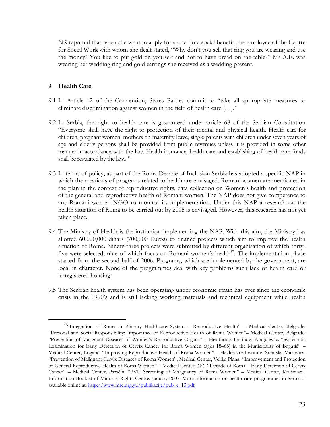Niš reported that when she went to apply for a one-time social benefit, the employee of the Centre for Social Work with whom she dealt stated, "Why don't you sell that ring you are wearing and use the money? You like to put gold on yourself and not to have bread on the table?" Ms A.E. was wearing her wedding ring and gold earrings she received as a wedding present.

### **9 Health Care**

- 9.1 In Article 12 of the Convention, States Parties commit to "take all appropriate measures to eliminate discrimination against women in the field of health care […]."
- 9.2 In Serbia, the right to health care is guaranteed under article 68 of the Serbian Constitution "Everyone shall have the right to protection of their mental and physical health. Health care for children, pregnant women, mothers on maternity leave, single parents with children under seven years of age and elderly persons shall be provided from public revenues unless it is provided in some other manner in accordance with the law. Health insurance, health care and establishing of health care funds shall be regulated by the law..."
- 9.3 In terms of policy, as part of the Roma Decade of Inclusion Serbia has adopted a specific NAP in which the creations of programs related to health are envisaged. Romani women are mentioned in the plan in the context of reproductive rights, data collection on Women's health and protection of the general and reproductive health of Romani women. The NAP does not give competence to any Romani women NGO to monitor its implementation. Under this NAP a research on the health situation of Roma to be carried out by 2005 is envisaged. However, this research has not yet taken place.
- 9.4 The Ministry of Health is the institution implementing the NAP. With this aim, the Ministry has allotted 60,000,000 dinars (700,000 Euros) to finance projects which aim to improve the health situation of Roma. Ninety-three projects were submitted by different organisation of which fortyfive were selected, nine of which focus on Romani women's health<sup>27</sup>. The implementation phase started from the second half of 2006. Programs, which are implemented by the government, are local in character. None of the programmes deal with key problems such lack of health card or unregistered housing.
- 9.5 The Serbian health system has been operating under economic strain has ever since the economic crisis in the 1990's and is still lacking working materials and technical equipment while health

<span id="page-22-0"></span><sup>&</sup>lt;sup>27</sup>"Integration of Roma in Primary Healthcare System - Reproductive Health" - Medical Center, Belgrade. "Personal and Social Responsibility: Importance of Reproductive Health of Roma Women"– Medical Center, Belgrade. "Prevention of Malignant Diseases of Women's Reproductive Organs" – Healthcare Institute, Kragujevac. "Systematic Examination for Early Detection of Cervix Cancer for Roma Women (ages 18–65) in the Municipality of Bogatić" – Medical Center, Bogatić. "Improving Reproductive Health of Roma Women" – Healthcare Institute, Sremska Mitrovica. "Prevention of Malignant Cervix Diseases of Roma Women", Medical Center, Velika Plana. "Improvement and Protection of General Reproductive Health of Roma Women" – Medical Center, Niš. "Decade of Roma – Early Detection of Cervix Cancer" – Medical Center, Paraćin. "PVU Screening of Malignancy of Roma Women" – Medical Center, Kruševac . Information Booklet of Minority Rights Centre. January 2007. More information on health care programmes in Serbia is available online at: [http://www.mrc.org.yu/publikacije/pub\\_e\\_13.pdf](http://www.mrc.org.yu/publikacije/pub_e_13.pdf)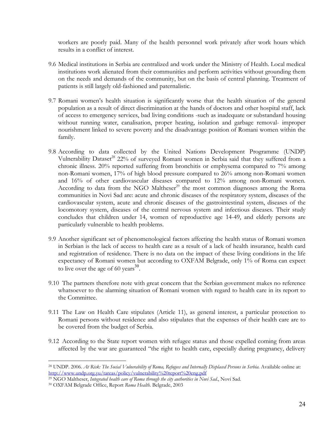workers are poorly paid. Many of the health personnel work privately after work hours which results in a conflict of interest.

- 9.6 Medical institutions in Serbia are centralized and work under the Ministry of Health. Local medical institutions work alienated from their communities and perform activities without grounding them on the needs and demands of the community, but on the basis of central planning. Treatment of patients is still largely old-fashioned and paternalistic.
- 9.7 Romani women's health situation is significantly worse that the health situation of the general population as a result of direct discrimination at the hands of doctors and other hospital staff, lack of access to emergency services, bad living conditions -such as inadequate or substandard housing without running water, canalisation, proper heating, isolation and garbage removal- improper nourishment linked to severe poverty and the disadvantage position of Romani women within the family.
- 9.8 According to data collected by the United Nations Development Programme (UNDP) Vulnerability Dataset<sup>28</sup> 22% of surveyed Romani women in Serbia said that they suffered from a chronic illness. 20% reported suffering from bronchitis or emphysema compared to 7% among non-Romani women, 17% of high blood pressure compared to 26% among non-Romani women and 16% of other cardiovascular diseases compared to 12% among non-Romani women. According to data from the NGO Maltheser<sup>29</sup> the most common diagnoses among the Roma communities in Novi Sad are: acute and chronic diseases of the respiratory system, diseases of the cardiovascular system, acute and chronic diseases of the gastrointestinal system, diseases of the locomotory system, diseases of the central nervous system and infectious diseases. Their study concludes that children under 14, women of reproductive age 14-49, and elderly persons are particularly vulnerable to health problems.
- 9.9 Another significant set of phenomenological factors affecting the health status of Romani women in Serbian is the lack of access to health care as a result of a lack of health insurance, health card and registration of residence. There is no data on the impact of these living conditions in the life expectancy of Romani women but according to OXFAM Belgrade, only 1% of Roma can expect to live over the age of 60 years<sup>[30](#page-23-2)</sup>.
- 9.10 The partners therefore note with great concern that the Serbian government makes no reference whatsoever to the alarming situation of Romani women with regard to health care in its report to the Committee.
- 9.11 The Law on Health Care stipulates (Article 11), as general interest, a particular protection to Romani persons without residence and also stipulates that the expenses of their health care are to be covered from the budget of Serbia.
- 9.12 According to the State report women with refugee status and those expelled coming from areas affected by the war are guaranteed "the right to health care, especially during pregnancy, delivery

<span id="page-23-0"></span><sup>1</sup> 28 UNDP. 2006. *At Risk: The Social Vulnerability of Roma, Refugees and Internally Displaced Persons in Serbia.* Available online at: [http://www.undp.org.yu/tareas/policy/vulnerability%20report%20eng.pdf](http://www.undp.org.yu/tareas/policy/vulnerability report eng.pdf)

<span id="page-23-1"></span><sup>29</sup> NGO Maltheser, *Integrated health care of Roma through the city authorities in Novi Sad.*, Novi Sad. 30 OXFAM Belgrade Office, Report *Roma Health.* Belgrade, 2003

<span id="page-23-2"></span>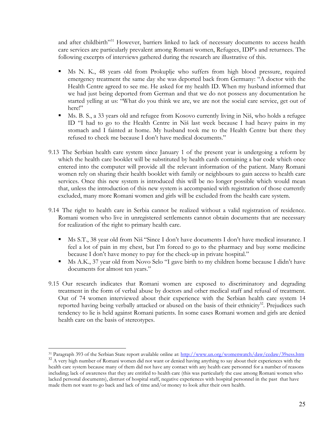and after childbirth"<sup>31</sup> However, barriers linked to lack of necessary documents to access health care services are particularly prevalent among Romani women, Refugees, IDP's and returnees. The following excerpts of interviews gathered during the research are illustrative of this.

- Ms N. K., 48 years old from Prokuplje who suffers from high blood pressure, required emergency treatment the same day she was deported back from Germany: "A doctor with the Health Centre agreed to see me. He asked for my health ID. When my husband informed that we had just being deported from German and that we do not possess any documentation he started yelling at us: "What do you think we are, we are not the social care service, get out of here!"
- Ms. B. S., a 33 years old and refugee from Kosovo currently living in Niš, who holds a refugee ID "I had to go to the Health Centre in Niš last week because I had heavy pains in my stomach and I fainted at home. My husband took me to the Health Centre but there they refused to check me because I don't have medical documents."
- 9.13 The Serbian health care system since January 1 of the present year is undergoing a reform by which the health care booklet will be substituted by health cards containing a bar code which once entered into the computer will provide all the relevant information of the patient. Many Romani women rely on sharing their health booklet with family or neighbours to gain access to health care services. Once this new system is introduced this will be no longer possible which would mean that, unless the introduction of this new system is accompanied with registration of those currently excluded, many more Romani women and girls will be excluded from the health care system.
- 9.14 The right to health care in Serbia cannot be realized without a valid registration of residence. Romani women who live in unregistered settlements cannot obtain documents that are necessary for realization of the right to primary health care.
	- Ms S.T., 38 year old from Niš "Since I don't have documents I don't have medical insurance. I feel a lot of pain in my chest, but I'm forced to go to the pharmacy and buy some medicine because I don't have money to pay for the check-up in private hospital."
	- Ms A.K., 37 year old from Novo Selo "I gave birth to my children home because I didn't have documents for almost ten years."
- 9.15 Our research indicates that Romani women are exposed to discriminatory and degrading treatment in the form of verbal abuse by doctors and other medical staff and refusal of treatment. Out of 74 women interviewed about their experience with the Serbian health care system 14 reported having being verbally attacked or abused on the basis of their ethnicity $32$ . Prejudices such tendency to lie is held against Romani patients. In some cases Romani women and girls are denied health care on the basis of stereotypes.

<span id="page-24-0"></span><sup>1</sup> <sup>31</sup> Paragraph 393 of the Serbian State report available online at: http://www.un.org/womenwatch/daw/cedaw/39sess.htm<br><sup>32</sup> A very high number of Romani women did not want or denied having anything to say about their experi

<span id="page-24-1"></span>health care system because many of them did not have any contact with any health care personnel for a number of reasons including; lack of awareness that they are entitled to health care (this was particularly the case among Romani women who lacked personal documents), distrust of hospital staff, negative experiences with hospital personnel in the past that have made them not want to go back and lack of time and/or money to look after their own health.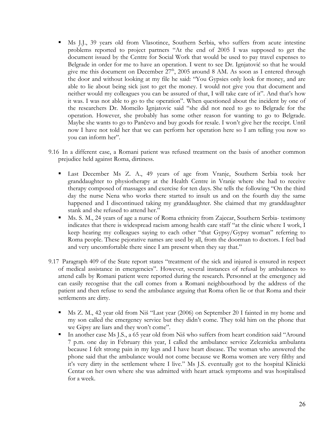- Ms J.J., 39 years old from Vlasotince, Southern Serbia, who suffers from acute intestine problems reported to project partners "At the end of 2005 I was supposed to get the document issued by the Centre for Social Work that would be used to pay travel expenses to Belgrade in order for me to have an operation. I went to see Dr. Ignjatović so that he would give me this document on December  $27<sup>th</sup>$ , 2005 around 8 AM. As soon as I entered through the door and without looking at my file he said: "You Gypsies only look for money, and are able to lie about being sick just to get the money. I would not give you that document and neither would my colleagues you can be assured of that, I will take care of it". And that's how it was. I was not able to go to the operation". When questioned about the incident by one of the researchers Dr. Momcilo Ignjatovic said "she did not need to go to Belgrade for the operation. However, she probably has some other reason for wanting to go to Belgrade. Maybe she wants to go to Pančevo and buy goods for resale. I won't give her the receipt. Until now I have not told her that we can perform her operation here so I am telling you now so you can inform her".
- 9.16 In a different case, a Romani patient was refused treatment on the basis of another common prejudice held against Roma, dirtiness.
	- Last December Ms Z. A., 49 years of age from Vranje, Southern Serbia took her granddaughter to physiotherapy at the Health Centre in Vranje where she had to receive therapy composed of massages and exercise for ten days. She tells the following "On the third day the nurse Nena who works there started to insult us and on the fourth day the same happened and I discontinued taking my granddaughter. She claimed that my granddaughter stank and she refused to attend her."
	- Ms. S. M., 24 years of age a nurse of Roma ethnicity from Zajecar, Southern Serbia- testimony indicates that there is widespread racism among health care staff "at the clinic where I work, I keep hearing my colleagues saying to each other "that Gypsy/Gypsy woman" referring to Roma people. These pejorative names are used by all, from the doorman to doctors. I feel bad and very uncomfortable there since I am present when they say that."
- 9.17 Paragraph 409 of the State report states "treatment of the sick and injured is ensured in respect of medical assistance in emergencies". However, several instances of refusal by ambulances to attend calls by Romani patient were reported during the research. Personnel at the emergency aid can easily recognise that the call comes from a Romani neighbourhood by the address of the patient and then refuse to send the ambulance arguing that Roma often lie or that Roma and their settlements are dirty.
	- Ms Z. M., 42 year old from Niš "Last year (2006) on September 20 I fainted in my home and my son called the emergency service but they didn't come. They told him on the phone that we Gipsy are liars and they won't come".
	- In another case Ms J.S., a 65 year old from Niš who suffers from heart condition said "Around" 7 p.m. one day in February this year, I called the ambulance service Zeleznicka ambulanta because I felt strong pain in my legs and I have heart disease. The woman who answered the phone said that the ambulance would not come because we Roma women are very filthy and it's very dirty in the settlement where I live." Ms J.S. eventually got to the hospital Klinicki Centar on her own where she was admitted with heart attack symptoms and was hospitalised for a week.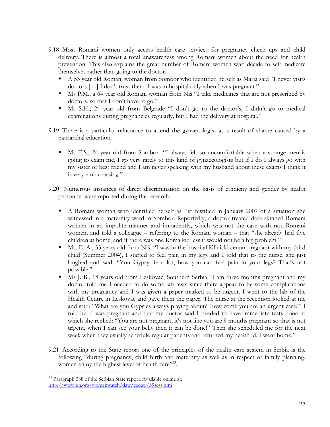- 9.18 Most Romani women only access health care services for pregnancy check ups and child delivery. There is almost a total unawareness among Romani women about the need for health prevention. This also explains the great number of Romani women who decide to self-medicate themselves rather than going to the doctor.
	- A 53 year old Romani woman from Sombor who identified herself as Maria said "I never visits doctors […] I don't trust them. I was in hospital only when I was pregnant."
	- Ms P.M., a 64 year old Romani woman from Niš "I take medicines that are not prescribed by doctors, so that I don't have to go."
	- Ms S.H., 24 year old from Belgrade "I don't go to the doctor's, I didn't go to medical examinations during pregnancies regularly, but I had the delivery at hospital."
- 9.19 There is a particular reluctance to attend the gynaecologist as a result of shame caused by a patriarchal education.
	- Ms E.S., 24 year old from Sombor- "I always felt so uncomfortable when a strange men is going to exam me, I go very rarely to this kind of gynaecologists but if I do I always go with my sister or best friend and I am never speaking with my husband about these exams I think it is very embarrassing."
- 9.20 Numerous instances of direct discrimination on the basis of ethnicity and gender by health personnel were reported during the research.
	- A Romani woman who identified herself as Piri testified in January 2007 of a situation she witnessed in a maternity ward in Sombor. Reportedly, a doctor treated dark-skinned Romani women in an impolite manner and impatiently, which was not the case with non-Romani women, and told a colleague – referring to the Romani woman – that "she already had five children at home, and if there was one Roma kid less it would not be a big problem."
	- Ms. E. A., 33 years old from Niš. "I was in the hospital Klinicki centar pregnant with my third child (Summer 2004), I started to feel pain in my legs and I told that to the nurse, she just laughed and said: "You Gypsy lie a lot, how you can feel pain in your legs? That's not possible."
	- Ms J. B., 18 years old from Leskovac, Southern Serbia "I am three months pregnant and my doctor told me I needed to do some lab tests since there appear to be some complications with my pregnancy and I was given a paper marked to be urgent. I went to the lab of the Health Centre in Leskovac and gave them the paper. The nurse at the reception looked at me and said: "What are you Gypsies always playing about? How come you are an urgent case?" I told her I was pregnant and that my doctor said I needed to have immediate tests done to which she replied: "You are not pregnant, it's not like you are 9 months pregnant so that is not urgent, when I can see your belly then it can be done!" Then she scheduled me for the next week when they usually schedule regular patients and returned my health id. I went home."
- 9.21 According to the State report one of the principles of the health care system in Serbia is the following "during pregnancy, child birth and maternity as well as in respect of family planning, women enjoy the highest level of health care"<sup>33</sup>.

1

<span id="page-26-0"></span><sup>&</sup>lt;sup>33</sup> Paragraph 388 of the Serbian State report. Available online at: <http://www.un.org/womenwatch/daw/cedaw/39sess.htm>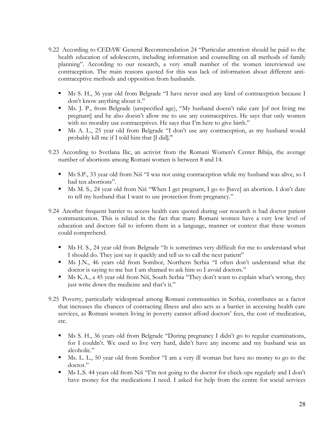- 9.22 According to CEDAW General Recommendation 24 "Particular attention should be paid to the health education of adolescents, including information and counselling on all methods of family planning". According to our research, a very small number of the women interviewed use contraception. The main reasons quoted for this was lack of information about different anticontraceptive methods and opposition from husbands.
	- Ms S. H., 36 year old from Belgrade "I have never used any kind of contraception because I don't know anything about it."
	- Ms. J. P., from Belgrade (unspecified age), "My husband doesn't take care [of not living me pregnant] and he also doesn't allow me to use any contraceptives. He says that only women with no morality use contraceptives. He says that I'm here to give birth."
	- Ms A. L., 25 year old from Belgrade "I don't use any contraception, as my husband would probably kill me if I told him that [I did]."
- 9.23 According to Svetlana Ilic, an activist from the Romani Women's Center Bibija, the average number of abortions among Romani women is between 8 and 14.
	- Ms S.P., 33 year old from Niš "I was not using contraception while my husband was alive, so I had ten abortions".
	- Ms M. S., 24 year old from Niš "When I get pregnant, I go to [have] an abortion. I don't dare to tell my husband that I want to use protection from pregnancy."
- 9.24 Another frequent barrier to access health care quoted during our research is bad doctor patient communication. This is related in the fact that many Romani women have a very low level of education and doctors fail to inform them in a language, manner or context that these women could comprehend.
	- Ms H. S., 24 year old from Belgrade "It is sometimes very difficult for me to understand what I should do. They just say it quickly and tell us to call the next patient"
	- Ms J.N., 46 years old from Sombor, Northern Serbia "I often don't understand what the doctor is saying to me but I am shamed to ask him so I avoid doctors."
	- Ms K.A., a 45 year old from Niš, South Serbia "They don't want to explain what's wrong, they just write down the medicine and that's it."
- 9.25 Poverty, particularly widespread among Romani communities in Serbia, contributes as a factor that increases the chances of contracting illness and also acts as a barrier in accessing health care services, as Romani women living in poverty cannot afford doctors' fees, the cost of medication, etc.
	- Ms S. H., 36 years old from Belgrade "During pregnancy I didn't go to regular examinations, for I couldn't. We used to live very hard, didn't have any income and my husband was an alcoholic."
	- Ms. L. L., 50 year old from Sombor "I am a very ill woman but have no money to go to the doctor."
	- Ms L.S. 44 years old from Niš "I'm not going to the doctor for check-ups regularly and I don't have money for the medications I need. I asked for help from the centre for social services